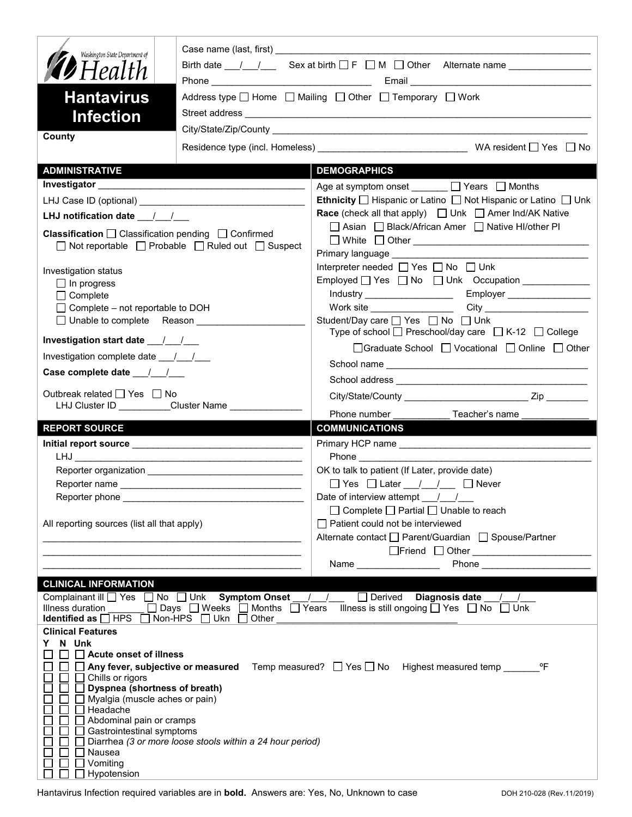| Washington State Department of<br><b>12</b> Health<br><b>Hantavirus</b><br><b>Infection</b><br>County                                                                 | Address type $\Box$ Home $\Box$ Mailing $\Box$ Other $\Box$ Temporary $\Box$ Work |                                                                                                                                          |  |
|-----------------------------------------------------------------------------------------------------------------------------------------------------------------------|-----------------------------------------------------------------------------------|------------------------------------------------------------------------------------------------------------------------------------------|--|
|                                                                                                                                                                       |                                                                                   |                                                                                                                                          |  |
| <b>ADMINISTRATIVE</b>                                                                                                                                                 |                                                                                   | <b>DEMOGRAPHICS</b>                                                                                                                      |  |
|                                                                                                                                                                       |                                                                                   | Age at symptom onset ______ □ Years □ Months                                                                                             |  |
|                                                                                                                                                                       |                                                                                   | Ethnicity □ Hispanic or Latino □ Not Hispanic or Latino □ Unk                                                                            |  |
| LHJ notification date $\frac{1}{2}$                                                                                                                                   |                                                                                   | <b>Race</b> (check all that apply) $\Box$ Unk $\Box$ Amer Ind/AK Native                                                                  |  |
| Classification □ Classification pending □ Confirmed<br>$\Box$ Not reportable $\Box$ Probable $\Box$ Ruled out $\Box$ Suspect                                          |                                                                                   | □ Asian □ Black/African Amer □ Native HI/other PI<br>□ White □ Other <u>___________________________________</u>                          |  |
| Investigation status                                                                                                                                                  |                                                                                   | Interpreter needed $\Box$ Yes $\Box$ No $\Box$ Unk                                                                                       |  |
| $\Box$ In progress                                                                                                                                                    |                                                                                   |                                                                                                                                          |  |
| $\Box$ Complete<br>$\Box$ Complete – not reportable to DOH                                                                                                            |                                                                                   |                                                                                                                                          |  |
| □ Unable to complete Reason                                                                                                                                           |                                                                                   | Student/Day care <sup>1</sup> Yes <sup>1</sup> No <sup>1</sup> Unk                                                                       |  |
| Investigation start date __/__/__                                                                                                                                     |                                                                                   | Type of school $\Box$ Preschool/day care $\Box$ K-12 $\Box$ College                                                                      |  |
| Investigation complete date ___/___/___                                                                                                                               |                                                                                   | □Graduate School □ Vocational □ Online □ Other                                                                                           |  |
|                                                                                                                                                                       |                                                                                   |                                                                                                                                          |  |
| Case complete date __/_/__/___                                                                                                                                        |                                                                                   |                                                                                                                                          |  |
| Outbreak related □ Yes □ No                                                                                                                                           |                                                                                   |                                                                                                                                          |  |
|                                                                                                                                                                       | LHJ Cluster ID __________Cluster Name _________________                           | Phone number <b>Example</b><br>Teacher's name                                                                                            |  |
| <b>REPORT SOURCE</b>                                                                                                                                                  |                                                                                   | <b>COMMUNICATIONS</b>                                                                                                                    |  |
|                                                                                                                                                                       |                                                                                   |                                                                                                                                          |  |
|                                                                                                                                                                       |                                                                                   |                                                                                                                                          |  |
|                                                                                                                                                                       |                                                                                   | OK to talk to patient (If Later, provide date)                                                                                           |  |
|                                                                                                                                                                       |                                                                                   | □ Yes □ Later / / □ Never                                                                                                                |  |
|                                                                                                                                                                       |                                                                                   |                                                                                                                                          |  |
|                                                                                                                                                                       |                                                                                   | Date of interview attempt $\frac{1}{\sqrt{2}}$                                                                                           |  |
|                                                                                                                                                                       |                                                                                   | $\Box$ Complete $\Box$ Partial $\Box$ Unable to reach                                                                                    |  |
| All reporting sources (list all that apply)                                                                                                                           | <u> 1989 - Johann John Stone, mars et al. (</u>                                   | $\Box$ Patient could not be interviewed<br>Alternate contact □ Parent/Guardian □ Spouse/Partner                                          |  |
|                                                                                                                                                                       |                                                                                   |                                                                                                                                          |  |
|                                                                                                                                                                       |                                                                                   |                                                                                                                                          |  |
|                                                                                                                                                                       |                                                                                   |                                                                                                                                          |  |
| <b>CLINICAL INFORMATION</b><br>Complainant ill   Yes   No   Unk Symptom Onset<br>Illness duration<br><b>Identified as</b> $\Box$ HPS $\Box$ Non-HPS $\Box$ Ukn $\Box$ | □ Days D Weeks D Months D Years<br>Other                                          | Derived Diagnosis date / /<br>$\left  \begin{array}{cc} \end{array} \right $<br>Illness is still ongoing $\Box$ Yes $\Box$ No $\Box$ Unk |  |
| <b>Clinical Features</b><br>N Unk<br>Y.                                                                                                                               |                                                                                   |                                                                                                                                          |  |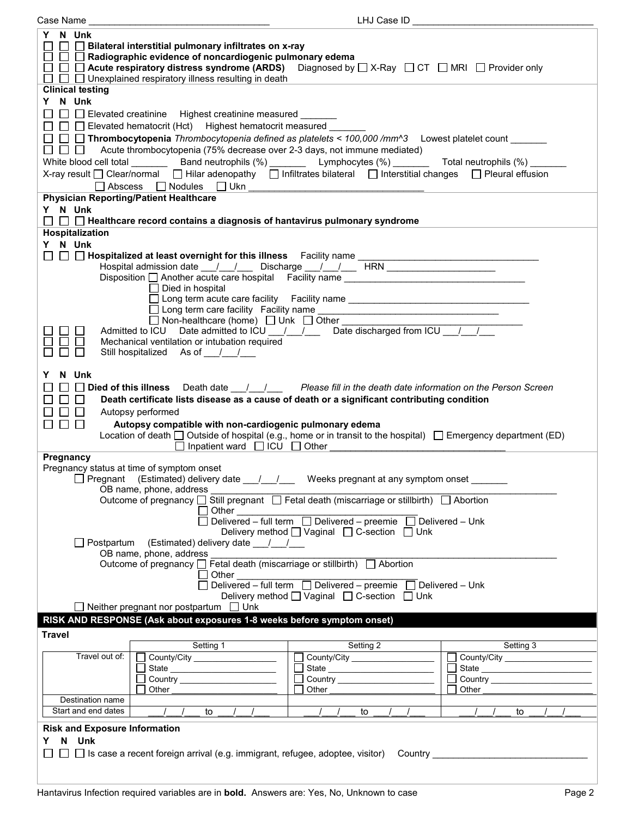| Case Name                                                                                                                                                     | LHJ Case ID                                                                                                                                                                                      |                                                                                                                                                                                                                                                                                                                                                                                                                                                 |                   |  |
|---------------------------------------------------------------------------------------------------------------------------------------------------------------|--------------------------------------------------------------------------------------------------------------------------------------------------------------------------------------------------|-------------------------------------------------------------------------------------------------------------------------------------------------------------------------------------------------------------------------------------------------------------------------------------------------------------------------------------------------------------------------------------------------------------------------------------------------|-------------------|--|
| Y N Unk<br>$\Box~\Box~\Box$ Bilateral interstitial pulmonary infiltrates on x-ray<br>$\Box~\Box~\Box$ Radiographic evidence of noncardiogenic pulmonary edema |                                                                                                                                                                                                  |                                                                                                                                                                                                                                                                                                                                                                                                                                                 |                   |  |
|                                                                                                                                                               | $\Box$ $\Box$ Acute respiratory distress syndrome (ARDS) Diagnosed by $\Box$ X-Ray $\Box$ CT $\Box$ MRI $\Box$ Provider only<br>$\Box$ $\Box$ Unexplained respiratory illness resulting in death |                                                                                                                                                                                                                                                                                                                                                                                                                                                 |                   |  |
| <b>Clinical testing</b>                                                                                                                                       |                                                                                                                                                                                                  |                                                                                                                                                                                                                                                                                                                                                                                                                                                 |                   |  |
| Y N Unk                                                                                                                                                       |                                                                                                                                                                                                  |                                                                                                                                                                                                                                                                                                                                                                                                                                                 |                   |  |
|                                                                                                                                                               | □ □ Elevated creatinine Highest creatinine measured ______                                                                                                                                       |                                                                                                                                                                                                                                                                                                                                                                                                                                                 |                   |  |
|                                                                                                                                                               | □ □ Elevated hematocrit (Hct) Highest hematocrit measured _                                                                                                                                      |                                                                                                                                                                                                                                                                                                                                                                                                                                                 |                   |  |
|                                                                                                                                                               | □ □ Thrombocytopenia Thrombocytopenia defined as platelets < 100,000 /mm^3  Lowest platelet count ______                                                                                         |                                                                                                                                                                                                                                                                                                                                                                                                                                                 |                   |  |
|                                                                                                                                                               | $\Box$ Acute thrombocytopenia (75% decrease over 2-3 days, not immune mediated)                                                                                                                  |                                                                                                                                                                                                                                                                                                                                                                                                                                                 |                   |  |
|                                                                                                                                                               | White blood cell total __________ Band neutrophils (%) ________ Lymphocytes (%) _______ Total neutrophils (%) ____                                                                               |                                                                                                                                                                                                                                                                                                                                                                                                                                                 |                   |  |
|                                                                                                                                                               | X-ray result □ Clear/normal □ Hilar adenopathy □ Infiltrates bilateral □ Interstitial changes □ Pleural effusion                                                                                 |                                                                                                                                                                                                                                                                                                                                                                                                                                                 |                   |  |
|                                                                                                                                                               |                                                                                                                                                                                                  |                                                                                                                                                                                                                                                                                                                                                                                                                                                 |                   |  |
|                                                                                                                                                               | <b>Physician Reporting/Patient Healthcare</b>                                                                                                                                                    |                                                                                                                                                                                                                                                                                                                                                                                                                                                 |                   |  |
| Y N Unk                                                                                                                                                       |                                                                                                                                                                                                  |                                                                                                                                                                                                                                                                                                                                                                                                                                                 |                   |  |
|                                                                                                                                                               | $\Box~\Box~\Box$ Healthcare record contains a diagnosis of hantavirus pulmonary syndrome                                                                                                         |                                                                                                                                                                                                                                                                                                                                                                                                                                                 |                   |  |
| Hospitalization                                                                                                                                               |                                                                                                                                                                                                  |                                                                                                                                                                                                                                                                                                                                                                                                                                                 |                   |  |
| Y N Unk                                                                                                                                                       |                                                                                                                                                                                                  |                                                                                                                                                                                                                                                                                                                                                                                                                                                 |                   |  |
|                                                                                                                                                               |                                                                                                                                                                                                  |                                                                                                                                                                                                                                                                                                                                                                                                                                                 |                   |  |
|                                                                                                                                                               | Hospital admission date __/__/___ Discharge __/__/___ HRN ______________________                                                                                                                 |                                                                                                                                                                                                                                                                                                                                                                                                                                                 |                   |  |
|                                                                                                                                                               | Disposition another acute care hospital Facility name __________________________                                                                                                                 |                                                                                                                                                                                                                                                                                                                                                                                                                                                 |                   |  |
|                                                                                                                                                               | $\Box$ Died in hospital                                                                                                                                                                          |                                                                                                                                                                                                                                                                                                                                                                                                                                                 |                   |  |
|                                                                                                                                                               |                                                                                                                                                                                                  | □ Long term acute care facility Facility name __________________________________                                                                                                                                                                                                                                                                                                                                                                |                   |  |
|                                                                                                                                                               | □ Non-healthcare (home) □ Unk □ Other _________                                                                                                                                                  |                                                                                                                                                                                                                                                                                                                                                                                                                                                 |                   |  |
|                                                                                                                                                               |                                                                                                                                                                                                  |                                                                                                                                                                                                                                                                                                                                                                                                                                                 |                   |  |
|                                                                                                                                                               | Mechanical ventilation or intubation required                                                                                                                                                    |                                                                                                                                                                                                                                                                                                                                                                                                                                                 |                   |  |
| П                                                                                                                                                             | Still hospitalized As of ///                                                                                                                                                                     |                                                                                                                                                                                                                                                                                                                                                                                                                                                 |                   |  |
|                                                                                                                                                               |                                                                                                                                                                                                  |                                                                                                                                                                                                                                                                                                                                                                                                                                                 |                   |  |
| N Unk                                                                                                                                                         |                                                                                                                                                                                                  |                                                                                                                                                                                                                                                                                                                                                                                                                                                 |                   |  |
|                                                                                                                                                               | $\Box$ Died of this illness Death date $\Box$ / $\Box$ Please fill in the death date information on the Person Screen                                                                            |                                                                                                                                                                                                                                                                                                                                                                                                                                                 |                   |  |
|                                                                                                                                                               | Death certificate lists disease as a cause of death or a significant contributing condition                                                                                                      |                                                                                                                                                                                                                                                                                                                                                                                                                                                 |                   |  |
|                                                                                                                                                               | Autopsy performed                                                                                                                                                                                |                                                                                                                                                                                                                                                                                                                                                                                                                                                 |                   |  |
| $\Box$                                                                                                                                                        | Autopsy compatible with non-cardiogenic pulmonary edema                                                                                                                                          |                                                                                                                                                                                                                                                                                                                                                                                                                                                 |                   |  |
|                                                                                                                                                               | Location of death □ Outside of hospital (e.g., home or in transit to the hospital) □ Emergency department (ED)                                                                                   |                                                                                                                                                                                                                                                                                                                                                                                                                                                 |                   |  |
|                                                                                                                                                               | $\Box$ Inpatient ward $\Box$ ICU $\Box$ Other                                                                                                                                                    |                                                                                                                                                                                                                                                                                                                                                                                                                                                 |                   |  |
| Pregnancy                                                                                                                                                     |                                                                                                                                                                                                  |                                                                                                                                                                                                                                                                                                                                                                                                                                                 |                   |  |
|                                                                                                                                                               | Pregnancy status at time of symptom onset<br>$\Box$ Pregnant (Estimated) delivery date $\_\_\_\_\_\_\$ Weeks pregnant at any symptom onset                                                       |                                                                                                                                                                                                                                                                                                                                                                                                                                                 |                   |  |
|                                                                                                                                                               | OB name, phone, address                                                                                                                                                                          |                                                                                                                                                                                                                                                                                                                                                                                                                                                 |                   |  |
|                                                                                                                                                               | Outcome of pregnancy $\Box$ Still pregnant $\Box$ Fetal death (miscarriage or stillbirth) $\Box$ Abortion                                                                                        |                                                                                                                                                                                                                                                                                                                                                                                                                                                 |                   |  |
|                                                                                                                                                               | $\Box$ Other                                                                                                                                                                                     |                                                                                                                                                                                                                                                                                                                                                                                                                                                 |                   |  |
|                                                                                                                                                               |                                                                                                                                                                                                  | Delivered – full term □ Delivered – preemie □ Delivered – Unk                                                                                                                                                                                                                                                                                                                                                                                   |                   |  |
|                                                                                                                                                               |                                                                                                                                                                                                  | Delivery method <u>on</u> Vaginal <b>or</b> C-section <b>or</b> Unk                                                                                                                                                                                                                                                                                                                                                                             |                   |  |
| □ Postpartum (Estimated) delivery date __/__/__                                                                                                               |                                                                                                                                                                                                  |                                                                                                                                                                                                                                                                                                                                                                                                                                                 |                   |  |
| OB name, phone, address                                                                                                                                       |                                                                                                                                                                                                  |                                                                                                                                                                                                                                                                                                                                                                                                                                                 |                   |  |
| Outcome of pregnancy □ Fetal death (miscarriage or stillbirth) □ Abortion                                                                                     |                                                                                                                                                                                                  |                                                                                                                                                                                                                                                                                                                                                                                                                                                 |                   |  |
|                                                                                                                                                               |                                                                                                                                                                                                  |                                                                                                                                                                                                                                                                                                                                                                                                                                                 |                   |  |
|                                                                                                                                                               | $\Box$ Other $\_\_$                                                                                                                                                                              |                                                                                                                                                                                                                                                                                                                                                                                                                                                 |                   |  |
|                                                                                                                                                               |                                                                                                                                                                                                  | Delivered - full term $\Box$ Delivered - preemie $\Box$ Delivered - Unk                                                                                                                                                                                                                                                                                                                                                                         |                   |  |
|                                                                                                                                                               | $\Box$ Neither pregnant nor postpartum $\Box$ Unk                                                                                                                                                | Delivery method <u>U</u> Vaginal □ C-section □ Unk                                                                                                                                                                                                                                                                                                                                                                                              |                   |  |
|                                                                                                                                                               |                                                                                                                                                                                                  |                                                                                                                                                                                                                                                                                                                                                                                                                                                 |                   |  |
|                                                                                                                                                               | RISK AND RESPONSE (Ask about exposures 1-8 weeks before symptom onset)                                                                                                                           |                                                                                                                                                                                                                                                                                                                                                                                                                                                 |                   |  |
| <b>Travel</b>                                                                                                                                                 |                                                                                                                                                                                                  |                                                                                                                                                                                                                                                                                                                                                                                                                                                 |                   |  |
|                                                                                                                                                               | Setting 1                                                                                                                                                                                        | Setting 2                                                                                                                                                                                                                                                                                                                                                                                                                                       | Setting 3         |  |
| Travel out of:                                                                                                                                                | $\Box$ County/City ___________________<br>$\blacksquare$                                                                                                                                         | County/City                                                                                                                                                                                                                                                                                                                                                                                                                                     | $\perp$<br>$\Box$ |  |
|                                                                                                                                                               | State _________________________                                                                                                                                                                  |                                                                                                                                                                                                                                                                                                                                                                                                                                                 | State<br>$\Box$   |  |
|                                                                                                                                                               | Other                                                                                                                                                                                            | Other                                                                                                                                                                                                                                                                                                                                                                                                                                           | Other             |  |
| Destination name                                                                                                                                              |                                                                                                                                                                                                  |                                                                                                                                                                                                                                                                                                                                                                                                                                                 |                   |  |
| Start and end dates                                                                                                                                           | $\frac{1}{2}$<br>to<br>$\sqrt{1}$                                                                                                                                                                | $\frac{1}{\sqrt{1-\frac{1}{\sqrt{1-\frac{1}{\sqrt{1-\frac{1}{\sqrt{1-\frac{1}{\sqrt{1-\frac{1}{\sqrt{1-\frac{1}{\sqrt{1-\frac{1}{\sqrt{1-\frac{1}{\sqrt{1-\frac{1}{\sqrt{1-\frac{1}{\sqrt{1-\frac{1}{\sqrt{1-\frac{1}{\sqrt{1-\frac{1}{\sqrt{1-\frac{1}{\sqrt{1-\frac{1}{\sqrt{1-\frac{1}{\sqrt{1-\frac{1}{\sqrt{1-\frac{1}{\sqrt{1-\frac{1}{\sqrt{1-\frac{1}{\sqrt{1-\frac{1}{\sqrt{1-\frac{1}{\sqrt{1-\frac{1}{\sqrt{1-\frac{1$<br>$\sqrt{1}$ | to                |  |
|                                                                                                                                                               |                                                                                                                                                                                                  |                                                                                                                                                                                                                                                                                                                                                                                                                                                 |                   |  |
| <b>Risk and Exposure Information</b><br>Y.                                                                                                                    |                                                                                                                                                                                                  |                                                                                                                                                                                                                                                                                                                                                                                                                                                 |                   |  |
| N Unk                                                                                                                                                         |                                                                                                                                                                                                  |                                                                                                                                                                                                                                                                                                                                                                                                                                                 |                   |  |
|                                                                                                                                                               | □ Is case a recent foreign arrival (e.g. immigrant, refugee, adoptee, visitor) Country _____________                                                                                             |                                                                                                                                                                                                                                                                                                                                                                                                                                                 |                   |  |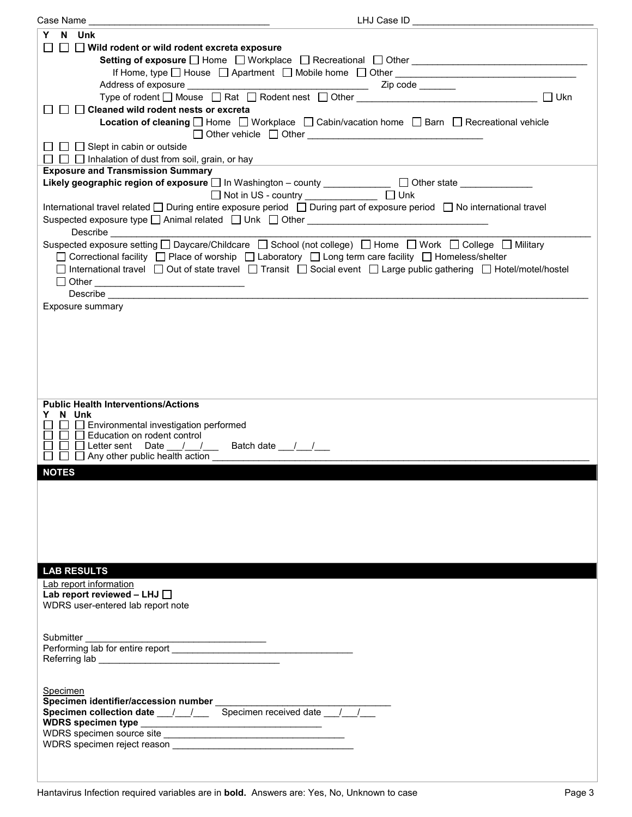| Case Name                                                                                                                                                                                                                      | LHJ Case ID                                                                                                                 |
|--------------------------------------------------------------------------------------------------------------------------------------------------------------------------------------------------------------------------------|-----------------------------------------------------------------------------------------------------------------------------|
| N Unk<br>Y                                                                                                                                                                                                                     |                                                                                                                             |
|                                                                                                                                                                                                                                |                                                                                                                             |
| $\Box$ Wild rodent or wild rodent excreta exposure                                                                                                                                                                             |                                                                                                                             |
|                                                                                                                                                                                                                                |                                                                                                                             |
|                                                                                                                                                                                                                                |                                                                                                                             |
|                                                                                                                                                                                                                                |                                                                                                                             |
| Type of rodent □ Mouse □ Rat □ Rodent nest □ Other _____________________________                                                                                                                                               | $\Box$ Ukn                                                                                                                  |
| $\Box$ Cleaned wild rodent nests or excreta                                                                                                                                                                                    |                                                                                                                             |
|                                                                                                                                                                                                                                | <b>Location of cleaning</b> $\Box$ Home $\Box$ Workplace $\Box$ Cabin/vacation home $\Box$ Barn $\Box$ Recreational vehicle |
|                                                                                                                                                                                                                                |                                                                                                                             |
|                                                                                                                                                                                                                                |                                                                                                                             |
| $\Box$ $\Box$ Slept in cabin or outside                                                                                                                                                                                        |                                                                                                                             |
| $\Box$ $\Box$ Inhalation of dust from soil, grain, or hay                                                                                                                                                                      |                                                                                                                             |
| <b>Exposure and Transmission Summary</b>                                                                                                                                                                                       |                                                                                                                             |
| Likely geographic region of exposure □ In Washington - county ______________ □ Other state ______________                                                                                                                      |                                                                                                                             |
|                                                                                                                                                                                                                                |                                                                                                                             |
|                                                                                                                                                                                                                                |                                                                                                                             |
| International travel related □ During entire exposure period □ During part of exposure period □ No international travel                                                                                                        |                                                                                                                             |
| Suspected exposure type □ Animal related □ Unk □ Other __________________________                                                                                                                                              |                                                                                                                             |
| Describe ______________________                                                                                                                                                                                                |                                                                                                                             |
| Suspected exposure setting □ Daycare/Childcare □ School (not college) □ Home □ Work □ College □ Military                                                                                                                       |                                                                                                                             |
| □ Correctional facility □ Place of worship □ Laboratory □ Long term care facility □ Homeless/shelter                                                                                                                           |                                                                                                                             |
| □ International travel □ Out of state travel □ Transit □ Social event □ Large public gathering □ Hotel/motel/hostel                                                                                                            |                                                                                                                             |
|                                                                                                                                                                                                                                |                                                                                                                             |
|                                                                                                                                                                                                                                |                                                                                                                             |
| Describe the contract of the contract of the contract of the contract of the contract of the contract of the contract of the contract of the contract of the contract of the contract of the contract of the contract of the c |                                                                                                                             |
| Exposure summary                                                                                                                                                                                                               |                                                                                                                             |
|                                                                                                                                                                                                                                |                                                                                                                             |
|                                                                                                                                                                                                                                |                                                                                                                             |
|                                                                                                                                                                                                                                |                                                                                                                             |
|                                                                                                                                                                                                                                |                                                                                                                             |
|                                                                                                                                                                                                                                |                                                                                                                             |
|                                                                                                                                                                                                                                |                                                                                                                             |
|                                                                                                                                                                                                                                |                                                                                                                             |
|                                                                                                                                                                                                                                |                                                                                                                             |
| <b>Public Health Interventions/Actions</b>                                                                                                                                                                                     |                                                                                                                             |
| N Unk                                                                                                                                                                                                                          |                                                                                                                             |
| Environmental investigation performed                                                                                                                                                                                          |                                                                                                                             |
| $\Box$ Education on rodent control                                                                                                                                                                                             |                                                                                                                             |
| Letter sent Date __/ __/ __ Batch date __/ __/ __                                                                                                                                                                              |                                                                                                                             |
| $\Box$ Any other public health action $\Box$                                                                                                                                                                                   |                                                                                                                             |
|                                                                                                                                                                                                                                |                                                                                                                             |
| <b>NOTES</b>                                                                                                                                                                                                                   |                                                                                                                             |
|                                                                                                                                                                                                                                |                                                                                                                             |
|                                                                                                                                                                                                                                |                                                                                                                             |
|                                                                                                                                                                                                                                |                                                                                                                             |
|                                                                                                                                                                                                                                |                                                                                                                             |
|                                                                                                                                                                                                                                |                                                                                                                             |
|                                                                                                                                                                                                                                |                                                                                                                             |
|                                                                                                                                                                                                                                |                                                                                                                             |
|                                                                                                                                                                                                                                |                                                                                                                             |
|                                                                                                                                                                                                                                |                                                                                                                             |
| <b>LAB RESULTS</b>                                                                                                                                                                                                             |                                                                                                                             |
| Lab report information                                                                                                                                                                                                         |                                                                                                                             |
| Lab report reviewed - LHJ $\Box$                                                                                                                                                                                               |                                                                                                                             |
| WDRS user-entered lab report note                                                                                                                                                                                              |                                                                                                                             |
|                                                                                                                                                                                                                                |                                                                                                                             |
|                                                                                                                                                                                                                                |                                                                                                                             |
| Submitter                                                                                                                                                                                                                      |                                                                                                                             |
|                                                                                                                                                                                                                                |                                                                                                                             |
|                                                                                                                                                                                                                                |                                                                                                                             |
|                                                                                                                                                                                                                                |                                                                                                                             |
|                                                                                                                                                                                                                                |                                                                                                                             |
| Specimen                                                                                                                                                                                                                       |                                                                                                                             |
|                                                                                                                                                                                                                                |                                                                                                                             |
| Specimen identifier/accession number<br>Specimen collection date __/__/___ Specimen received date __/__/__                                                                                                                     |                                                                                                                             |
|                                                                                                                                                                                                                                |                                                                                                                             |
|                                                                                                                                                                                                                                |                                                                                                                             |
|                                                                                                                                                                                                                                |                                                                                                                             |
|                                                                                                                                                                                                                                |                                                                                                                             |
|                                                                                                                                                                                                                                |                                                                                                                             |
|                                                                                                                                                                                                                                |                                                                                                                             |
|                                                                                                                                                                                                                                |                                                                                                                             |